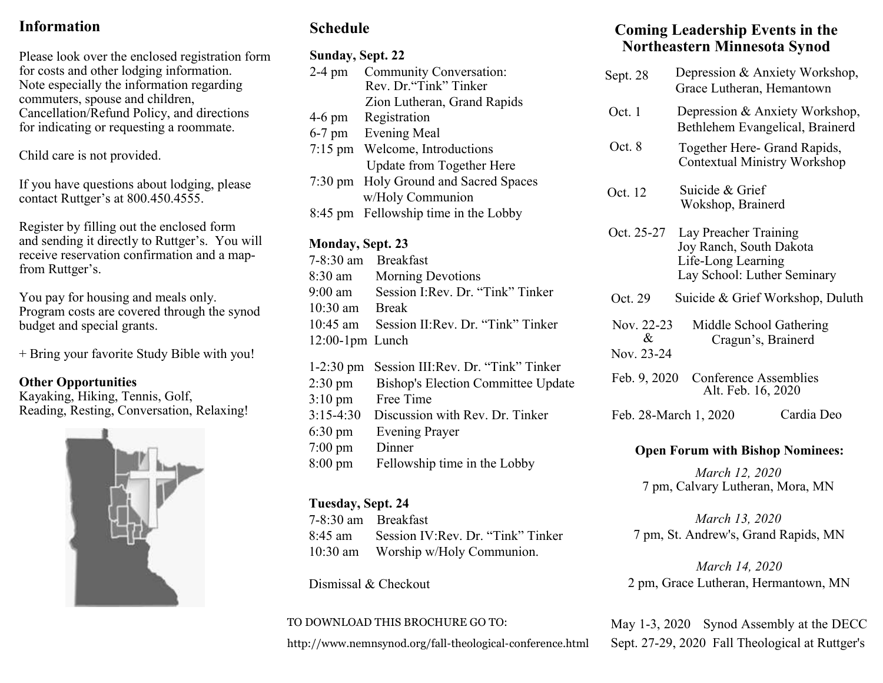# **InformationTgikuvtcvkqp**

Please look over the enclosed registration form for costs and other lodging information.

To download the Registration form, go to our website at www.nemnsynod.org and click on the button titled "FTC Registation Form" under the *Quick Links!* section.

Register by filling out the enclosed form and sending it directly to Ruttger's.

You will receive a reservation confirmation, and a map-from Ruttger's.

If you have questions about lodging and amenities, please contact Ruttger's at 800.450.4555.

Note especially the information regarding commuters, spouse and children, Cancellation/ Refund Policy, and directions for indicating or requesting a roommate.

 $Ej$ *knf*"*ectg*"*ku*"*pqv*"*rtqxkfgf*0"

Program costs are covered through the synod budget and special grants.

+Bring your favorite Study Bible with you!

#### **Other Opportunities**

Kayaking, Hiking, Tennis, Golf, Reading, Resting, Conversation, Relaxing!



## **Schedule**

#### **Sunday, Sept. 22** 2-4 pm Community Conversation: Rev. Dr."Tink" Tinker Zion Lutheran, Grand Rapids 4-6 pm Registration 6-7 pm Evening Meal 7:15 pm Welcome, Introductions Update from Together Here 7:30 pm Holy Ground and Sacred Spaces w/Holy Communion 8:45 pm Fellowship time in the Lobby

#### **Monday, Sept. 23**

7-8:30 am Breakfast 8:30 am Morning Devotions 9:00 am Session I:Rev. Dr. "Tink" Tinker 10:30 am Break 10:45 am Session II:Rev. Dr. "Tink" Tinker 12:00-1pm Lunch 1-2:30 pm Session III:Rev. Dr. "Tink" Tinker 2:30 pm Bishop's Election Committee Update

3:10 pm Free Time 3:15-4:30 Discussion with Rev. Dr. Tinker 6:30 pm Evening Prayer 7:00 pm Dinner 8:00 pm Fellowship time in the Lobby

#### **Tuesday, Sept. 24**

7-8:30 am Breakfast 8:45 am Session IV:Rev. Dr. "Tink" Tinker 10:30 am Worship w/Holy Communion.

Dismissal & Checkout

#### TO DOWNLOAD THIS BROCHURE GO TO:

http://www.nemnsynod.org/fall-theological-conference.html

## **Coming Leadership Events in the Northeastern Minnesota Synod**

| Sept. 28                                                                                                 | Depression & Anxiety Workshop,<br>Grace Lutheran, Hemantown                                           |            |
|----------------------------------------------------------------------------------------------------------|-------------------------------------------------------------------------------------------------------|------------|
| Oct. 1                                                                                                   | Depression & Anxiety Workshop,<br>Bethlehem Evangelical, Brainerd                                     |            |
| Oct. 8                                                                                                   | Together Here- Grand Rapids,<br><b>Contextual Ministry Workshop</b>                                   |            |
| Oct. 12                                                                                                  | Suicide & Grief<br>Wokshop, Brainerd                                                                  |            |
| Oct. 25-27                                                                                               | Lay Preacher Training<br>Joy Ranch, South Dakota<br>Life-Long Learning<br>Lay School: Luther Seminary |            |
| Oct. 29                                                                                                  | Suicide & Grief Workshop, Duluth                                                                      |            |
| Nov. 22-23<br>Middle School Gathering<br>$\mathcal{R}_{\mathcal{L}}$<br>Cragun's, Brainerd<br>Nov. 23-24 |                                                                                                       |            |
| Feb. 9, 2020                                                                                             | Conference Assemblies<br>Alt. Feb. 16, 2020                                                           |            |
|                                                                                                          | Feb. 28-March 1, 2020                                                                                 | Cardia Deo |
| Onen Forum with Rishon Nominees.                                                                         |                                                                                                       |            |

#### **Open Forum with Bishop Nominees:**

*March 12, 2020* 7 pm, Calvary Lutheran, Mora, MN

*March 13, 2020* 7 pm, St. Andrew's, Grand Rapids, MN

*March 14, 2020* 2 pm, Grace Lutheran, Hermantown, MN

May 1-3, 2020 Synod Assembly at the DECC Sept. 27-29, 2020 Fall Theological at Ruttger's